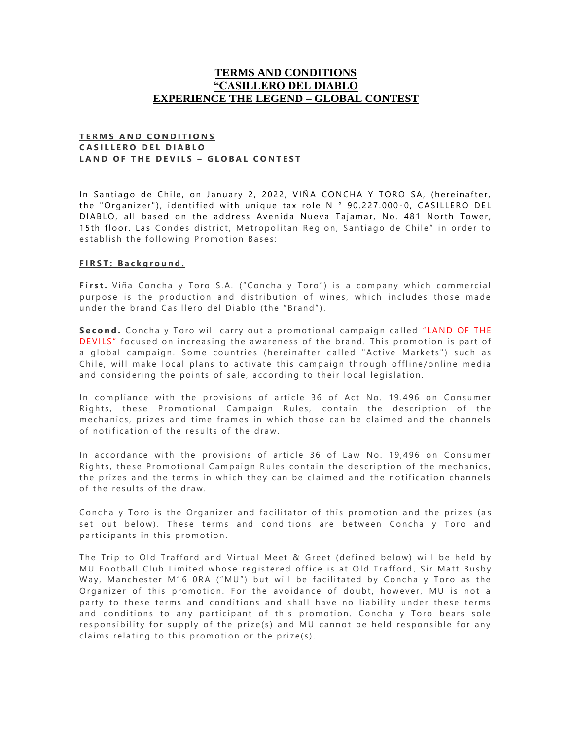# **TERMS AND CONDITIONS "CASILLERO DEL DIABLO EXPERIENCE THE LEGEND – GLOBAL CONTEST**

#### **T E R M S A N D C O N D I T I O N S C A S I L L E R O D E L D I A B L O LAND OF THE DEVILS - GLOBAL CONTEST**

In Santiago de Chile, on January 2, 2022, VIÑA CONCHA Y TORO SA, (hereinafter, the "Organizer"), identified with unique tax role N ° 90.227.000-0, CASILLERO DEL DIABLO, all based on the address Avenida Nueva Tajamar, No. 481 North Tower, 15th floor. Las Condes district, Metropolitan Region, Santiago de Chile" in order to establish the following Promotion Bases:

#### **F I R S T : B a c k g r o u n d .**

First. Viña Concha y Toro S.A. ("Concha y Toro") is a company which commercial purpose is the production and distribution of wines, which includes those made under the brand Casillero del Diablo (the "Brand").

**Second.** Concha y Toro will carry out a promotional campaign called "LAND OF THE DEVILS" focused on increasing the awareness of the brand. This promotion is part of a global campaign. Some countries (hereinafter called "Active Markets") such as Chile, will make local plans to activate this campaign through offline/online media and considering the points of sale, according to their local legislation.

In compliance with the provisions of article 36 of Act No. 19.496 on Consumer Rights, these Promotional Campaign Rules, contain the description of the mechanics, prizes and time frames in which those can be claimed and the channels of notification of the results of the draw.

In accordance with the provisions of article 36 of Law No. 19,496 on Consumer Rights, these Promotional Campaign Rules contain the description of the mechanics, the prizes and the terms in which they can be claimed and the notification channels of the results of the draw.

Concha y Toro is the Organizer and facilitator of this promotion and the prizes (as set out below). These terms and conditions are between Concha y Toro and participants in this promotion.

The Trip to Old Trafford and Virtual Meet & Greet (defined below) will be held by MU Football Club Limited whose registered office is at Old Trafford, Sir Matt Busby Way, Manchester M16 ORA ("MU") but will be facilitated by Concha y Toro as the Organizer of this promotion. For the avoidance of doubt, however, MU is not a party to these terms and conditions and shall have no liability under these terms and conditions to any participant of this promotion. Concha y Toro bears sole responsibility for supply of the prize(s) and MU cannot be held responsible for any claims relating to this promotion or the prize(s).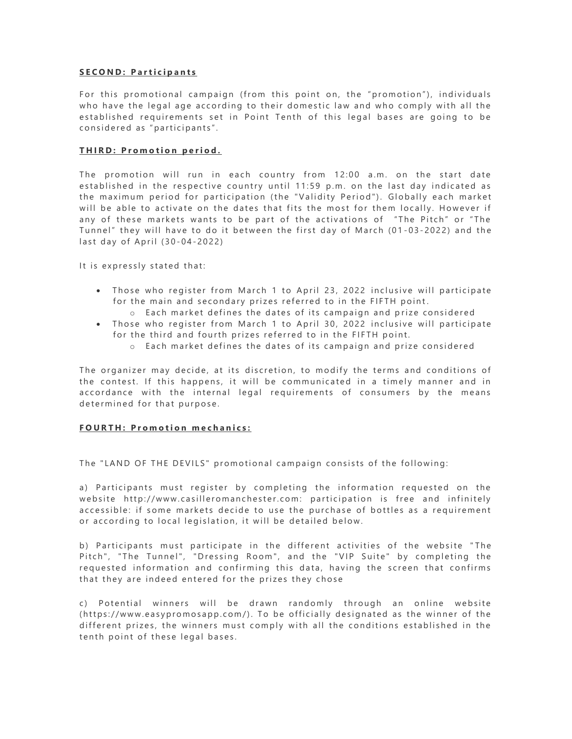#### **SECOND: Participants**

For this promotional campaign (from this point on, the "promotion"), individuals who have the legal age according to their domestic law and who comply with all the established requirements set in Point Tenth of this legal bases are going to be considered as "participants".

#### **THIRD: Promotion period.**

The promotion will run in each country from 12:00 a.m. on the start date established in the respective country until 11:59 p.m. on the last day indicated as the maximum period for participation (the "Validity Period"). Globally each market will be able to activate on the dates that fits the most for them locally. However if any of these markets wants to be part of the activations of "The Pitch" or "The Tunnel" they will have to do it between the first day of March (01-03-2022) and the last day of April (30-04-2022)

It is expressly stated that:

- Those who register from March 1 to April 23, 2022 inclusive will participate for the main and secondary prizes referred to in the FIFTH point.
	- $\circ$  Each market defines the dates of its campaign and prize considered
- Those who register from March 1 to April 30, 2022 inclusive will participate for the third and fourth prizes referred to in the FIFTH point.
	- $\circ$  Each market defines the dates of its campaign and prize considered

The organizer may decide, at its discretion, to modify the terms and conditions of the contest. If this happens, it will be communicated in a timely manner and in accordance with the internal legal requirements of consumers by the means determined for that purpose.

#### **FOURTH: Promotion mechanics:**

The "LAND OF THE DEVILS" promotional campaign consists of the following:

a) Participants must register by completing the information requested on the website http://www.casilleromanchester.com: participation is free and infinitely accessible: if some markets decide to use the purchase of bottles as a requirement or according to local legislation, it will be detailed below.

b) Participants must participate in the different activities of the website "The Pitch", "The Tunnel", "Dressing Room", and the "VIP Suite" by completing the requested information and confirming this data, having the screen that confirms that they are indeed entered for the prizes they chose

c) Potential winners will be drawn randomly through an online website (https://www.easypromosapp.com/). To be officially designated as the winner of the different prizes, the winners must comply with all the conditions established in the tenth point of these legal bases.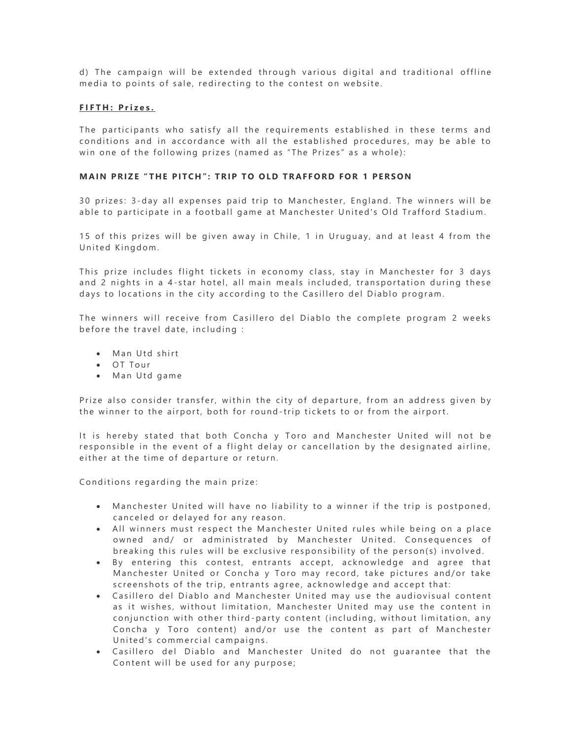d) The campaign will be extended through various digital and traditional offline media to points of sale, redirecting to the contest on website.

# **F I F T H : P r i z e s .**

The participants who satisfy all the requirements established in these terms and conditions and in accordance with all the established procedures, may be able to win one of the following prizes (named as "The Prizes" as a whole):

# **MAIN PRIZE "THE PITCH": TRIP TO OLD TRAFFORD FOR 1 PERSON**

30 prizes: 3-day all expenses paid trip to Manchester, England. The winners will be able to participate in a football game at Manchester United's Old Trafford Stadium.

15 of this prizes will be given away in Chile, 1 in Uruguay, and at least 4 from the United Kingdom.

This prize includes flight tickets in economy class, stay in Manchester for 3 days and 2 nights in a 4-star hotel, all main meals included, transportation during these days to locations in the city according to the Casillero del Diablo program.

The winners will receive from Casillero del Diablo the complete program 2 weeks before the travel date, including :

- Man Utd shirt
- OT Tour
- Man Utd game

Prize also consider transfer, within the city of departure, from an address given by the winner to the airport, both for round-trip tickets to or from the airport.

It is hereby stated that both Concha y Toro and Manchester United will not be responsible in the event of a flight delay or cancellation by the designated airline, either at the time of departure or return.

Conditions regarding the main prize:

- Manchester United will have no liability to a winner if the trip is postponed, canceled or delayed for any reason.
- All winners must respect the Manchester United rules while being on a place owned and/ or administrated by Manchester United. Consequences of breaking this rules will be exclusive responsibility of the person(s) involved.
- By entering this contest, entrants accept, acknowledge and agree that Manchester United or Concha y Toro may record, take pictures and/or take screenshots of the trip, entrants agree, acknowledge and accept that:
- Casillero del Diablo and Manchester United may use the audiovisual content as it wishes, without limitation, Manchester United may use the content in conjunction with other third-party content (including, without limitation, any Concha y Toro content) and/or use the content as part of Manchester United's commercial campaigns.
- Casillero del Diablo and Manchester United do not quarantee that the Content will be used for any purpose;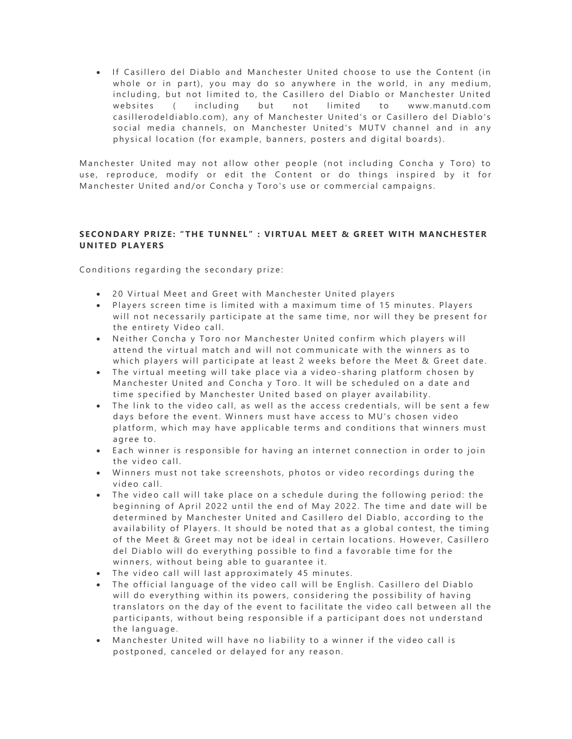• If Casillero del Diablo and Manchester United choose to use the Content (in whole or in part), you may do so anywhere in the world, in any medium, including, but not limited to, the Casillero del Diablo or Manchester United websites ( including but not limited to www.manutd.com casillerodeldiablo.com), any of Manchester United's or Casillero del Diablo's social media channels, on Manchester United's MUTV channel and in any physical location (for example, banners, posters and digital boards).

Manchester United may not allow other people (not including Concha y Toro) to use, reproduce, modify or edit the Content or do things inspired by it for Manchester United and/or Concha y Toro's use or commercial campaigns.

# SECONDARY PRIZE: "THE TUNNEL" : VIRTUAL MEET & GREET WITH MANCHESTER **UNITED PLAYERS**

Conditions regarding the secondary prize:

- 20 Virtual Meet and Greet with Manchester United players
- Players screen time is limited with a maximum time of 15 minutes. Players will not necessarily participate at the same time, nor will they be present for the entirety Video call.
- Neither Concha y Toro nor Manchester United confirm which players will attend the virtual match and will not communicate with the winners as to which players will participate at least 2 weeks before the Meet & Greet date.
- The virtual meeting will take place via a video-sharing platform chosen by Manchester United and Concha y Toro. It will be scheduled on a date and time specified by Manchester United based on player availability.
- The link to the video call, as well as the access credentials, will be sent a few days before the event. Winners must have access to MU's chosen video platform, which may have applicable terms and conditions that winners must agree to.
- Each winner is responsible for having an internet connection in order to join the video call.
- Winners must not take screenshots, photos or video recordings during the video call.
- The video call will take place on a schedule during the following period: the beginning of April 2022 until the end of May 2022. The time and date will be determined by Manchester United and Casillero del Diablo, according to the availability of Players. It should be noted that as a global contest, the timing of the Meet & Greet may not be ideal in certain locations. However, Casillero del Diablo will do everything possible to find a favorable time for the winners, without being able to quarantee it.
- The video call will last approximately 45 minutes.
- The official language of the video call will be English. Casillero del Diablo will do everything within its powers, considering the possibility of having translators on the day of the event to facilitate the video call between all the participants, without being responsible if a participant does not understand the language.
- Manchester United will have no liability to a winner if the video call is postponed, canceled or delayed for any reason.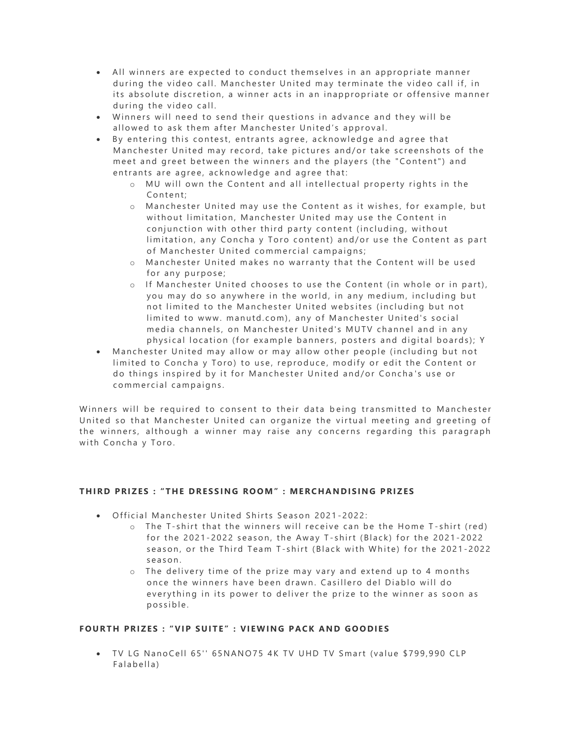- All winners are expected to conduct themselves in an appropriate manner during the video call. Manchester United may terminate the video call if, in its absolute discretion, a winner acts in an inappropriate or offensive manner during the video call.
- Winners will need to send their questions in advance and they will be allowed to ask them after Manchester United's approval.
- By entering this contest, entrants agree, acknowledge and agree that Manchester United may record, take pictures and/or take screenshots of the meet and greet between the winners and the players (the "Content") and entrants are agree, acknowledge and agree that:
	- o MU will own the Content and all intellectual property rights in the Content:
	- o Manchester United may use the Content as it wishes, for example, but without limitation, Manchester United may use the Content in conjunction with other third party content (including, without limitation, any Concha y Toro content) and/or use the Content as part of Manchester United commercial campaigns;
	- o Manchester United makes no warranty that the Content will be used for any purpose;
	- o If Manchester United chooses to use the Content (in whole or in part), you may do so anywhere in the world, in any medium, including but not limited to the Manchester United websites (including but not limited to www. manutd.com), any of Manchester United's social media channels, on Manchester United's MUTV channel and in any physical location (for example banners, posters and digital boards); Y
- Manchester United may allow or may allow other people (including but not limited to Concha y Toro) to use, reproduce, modify or edit the Content or do things inspired by it for Manchester United and/or Concha's use or commercial campaigns.

Winners will be required to consent to their data being transmitted to Manchester United so that Manchester United can organize the virtual meeting and greeting of the winners, although a winner may raise any concerns regarding this paragraph with Concha y Toro.

# **T H I R D P RI Z ES : " T H E D R E S S I N G RO O M" : ME R C H AN D I SI N G P RI Z ES**

- Official Manchester United Shirts Season 2021-2022:
	- $\circ$  The T-shirt that the winners will receive can be the Home T-shirt (red) for the 2021-2022 season, the Away T-shirt (Black) for the 2021-2022 season, or the Third Team T-shirt (Black with White) for the 2021-2022 s e a s o n .
	- $\circ$  The delivery time of the prize may vary and extend up to 4 months once the winners have been drawn. Casillero del Diablo will do every thing in its power to deliver the prize to the winner as soon as possible.

# **F O U R T H P RI Z E S : "V I P S U I T E " : VI E W I N G P AC K A N D G O O DI E S**

• TV LG NanoCell 65" 65NANO75 4K TV UHD TV Smart (value \$799,990 CLP Falabella)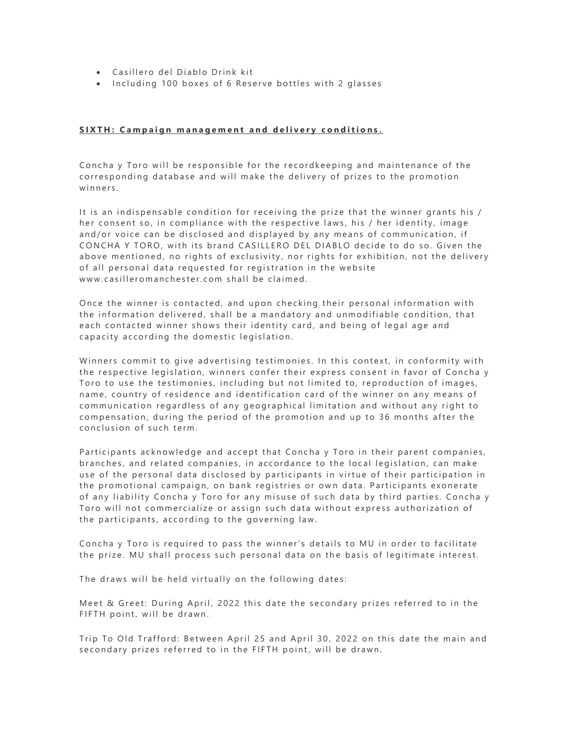- Casillero del Diablo Drink kit
- Including 100 boxes of 6 Reserve bottles with 2 glasses

#### **S I X T H : C a m p a i g n m a n a g e m e n t a n d d e l i v e r y c o n d i t i o n s .**

Concha y Toro will be responsible for the recordkeeping and maintenance of the corresponding database and will make the delivery of prizes to the promotion winners.

It is an indispensable condition for receiving the prize that the winner grants his / her consent so, in compliance with the respective laws, his / her identity, image and/or voice can be disclosed and displayed by any means of communication, if CONCHA Y TORO, with its brand CASILLERO DEL DIABLO decide to do so. Given the above mentioned, no rights of exclusivity, nor rights for exhibition, not the delivery of all personal data requested for registration in the website www.casilleromanchester.com shall be claimed.

Once the winner is contacted, and upon checking their personal information with the information delivered, shall be a mandatory and unmodifiable condition, that each contacted winner shows their identity card, and being of legal age and capacity according the domestic legislation.

Winners commit to give advertising testimonies. In this context, in conformity with the respective legislation, winners confer their express consent in favor of Concha y Toro to use the testimonies, including but not limited to, reproduction of images, name, country of residence and identification card of the winner on any means of communication regardless of any geographical limitation and without any right to compensation, during the period of the promotion and up to 36 months after the conclusion of such term.

Participants acknowledge and accept that Concha y Toro in their parent companies, branches, and related companies, in accordance to the local legislation, can make use of the personal data disclosed by participants in virtue of their participation in the promotional campaign, on bank registries or own data. Participants exonerate of any liability Concha y Toro for any misuse of such data by third parties. Concha y Toro will not commercialize or assign such data without express authorization of the participants, according to the governing law.

Concha y Toro is required to pass the winner's details to MU in order to facilitate the prize. MU shall process such personal data on the basis of legitimate interest.

The draws will be held virtually on the following dates:

Meet & Greet: During April, 2022 this date the secondary prizes referred to in the FIFTH point, will be drawn.

Trip To Old Trafford: Between April 25 and April 30, 2022 on this date the main and secondary prizes referred to in the FIFTH point, will be drawn.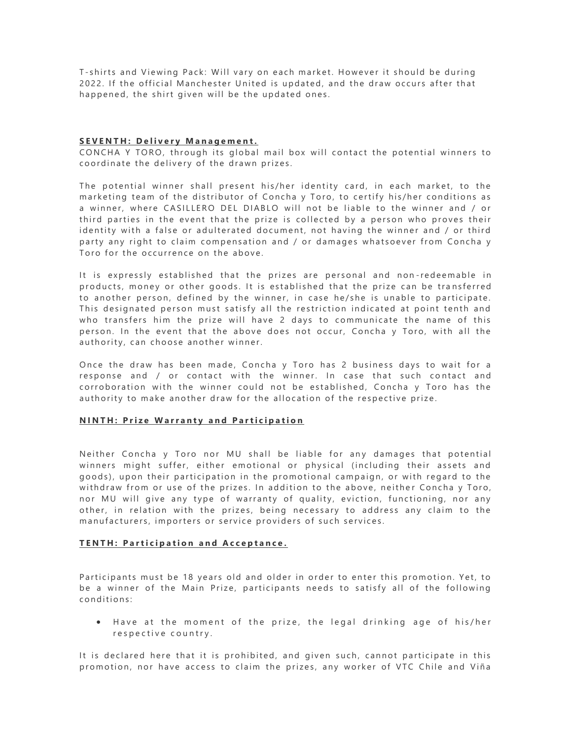T-shirts and Viewing Pack: Will vary on each market. However it should be during 2022. If the official Manchester United is updated, and the draw occurs after that happened, the shirt given will be the updated ones.

#### **S E V E N T H : D e l i v e r y M a n a g e m e n t .**

CONCHA Y TORO, through its global mail box will contact the potential winners to coordinate the delivery of the drawn prizes.

The potential winner shall present his/her identity card, in each market, to the marketing team of the distributor of Concha y Toro, to certify his/her conditions as a winner, where CASILLERO DEL DIABLO will not be liable to the winner and / or third parties in the event that the prize is collected by a person who proves their identity with a false or adulterated document, not having the winner and / or third party any right to claim compensation and / or damages whatsoever from Concha y Toro for the occurrence on the above.

It is expressly established that the prizes are personal and non-redeemable in products, money or other goods. It is established that the prize can be transferred to another person, defined by the winner, in case he/she is unable to participate. This designated person must satisfy all the restriction indicated at point tenth and who transfers him the prize will have 2 days to communicate the name of this person. In the event that the above does not occur, Concha y Toro, with all the authority, can choose another winner.

Once the draw has been made, Concha y Toro has 2 business days to wait for a response and / or contact with the winner. In case that such contact and corroboration with the winner could not be established, Concha y Toro has the authority to make another draw for the allocation of the respective prize.

# **NINTH: Prize Warranty and Participation**

Neither Concha y Toro nor MU shall be liable for any damages that potential winners might suffer, either emotional or physical (including their assets and goods), upon their participation in the promotional campaign, or with regard to the withdraw from or use of the prizes. In addition to the above, neither Concha y Toro, nor MU will give any type of warranty of quality, eviction, functioning, nor any other, in relation with the prizes, being necessary to address any claim to the manufacturers, importers or service providers of such services.

# **TENTH: Participation and Acceptance.**

Participants must be 18 years old and older in order to enter this promotion. Yet, to be a winner of the Main Prize, participants needs to satisfy all of the following conditions:

• Have at the moment of the prize, the legal drinking age of his/her respective country.

It is declared here that it is prohibited, and given such, cannot participate in this promotion, nor have access to claim the prizes, any worker of VTC Chile and Viña